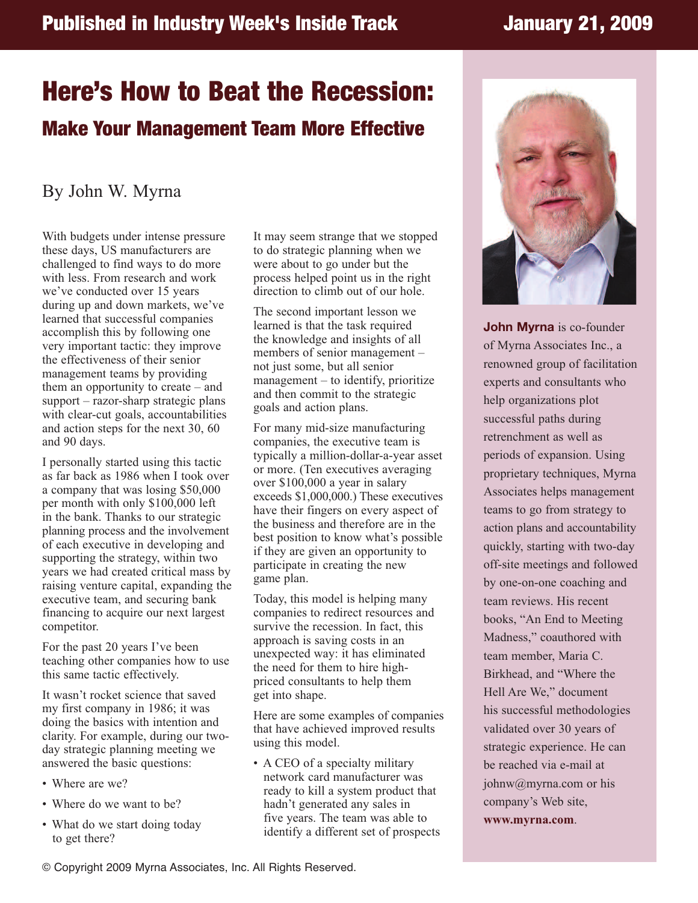## **Published in Industry Week's Inside Track January 21, 2009**

## **Here's How to Beat the Recession: Make Your Management Team More Effective**

## By John W. Myrna

With budgets under intense pressure these days, US manufacturers are challenged to find ways to do more with less. From research and work we've conducted over 15 years during up and down markets, we've learned that successful companies accomplish this by following one very important tactic: they improve the effectiveness of their senior management teams by providing them an opportunity to create – and support – razor-sharp strategic plans with clear-cut goals, accountabilities and action steps for the next 30, 60 and 90 days.

I personally started using this tactic as far back as 1986 when I took over a company that was losing \$50,000 per month with only \$100,000 left in the bank. Thanks to our strategic planning process and the involvement of each executive in developing and supporting the strategy, within two years we had created critical mass by raising venture capital, expanding the executive team, and securing bank financing to acquire our next largest competitor.

For the past 20 years I've been teaching other companies how to use this same tactic effectively.

It wasn't rocket science that saved my first company in 1986; it was doing the basics with intention and clarity. For example, during our twoday strategic planning meeting we answered the basic questions:

- Where are we?
- Where do we want to be?
- What do we start doing today to get there?

It may seem strange that we stopped to do strategic planning when we were about to go under but the process helped point us in the right direction to climb out of our hole.

The second important lesson we learned is that the task required the knowledge and insights of all members of senior management – not just some, but all senior management – to identify, prioritize and then commit to the strategic goals and action plans.

For many mid-size manufacturing companies, the executive team is typically a million-dollar-a-year asset or more. (Ten executives averaging over \$100,000 a year in salary exceeds \$1,000,000.) These executives have their fingers on every aspect of the business and therefore are in the best position to know what's possible if they are given an opportunity to participate in creating the new game plan.

Today, this model is helping many companies to redirect resources and survive the recession. In fact, this approach is saving costs in an unexpected way: it has eliminated the need for them to hire highpriced consultants to help them get into shape.

Here are some examples of companies that have achieved improved results using this model.

• A CEO of a specialty military network card manufacturer was ready to kill a system product that hadn't generated any sales in five years. The team was able to identify a different set of prospects



**John Myrna** is co-founder of Myrna Associates Inc., a renowned group of facilitation experts and consultants who help organizations plot successful paths during retrenchment as well as periods of expansion. Using proprietary techniques, Myrna Associates helps management teams to go from strategy to action plans and accountability quickly, starting with two-day off-site meetings and followed by one-on-one coaching and team reviews. His recent books, "An End to Meeting Madness," coauthored with team member, Maria C. Birkhead, and "Where the Hell Are We," document his successful methodologies validated over 30 years of strategic experience. He can be reached via e-mail at johnw@myrna.com or his company's Web site, **www.myrna.com**.